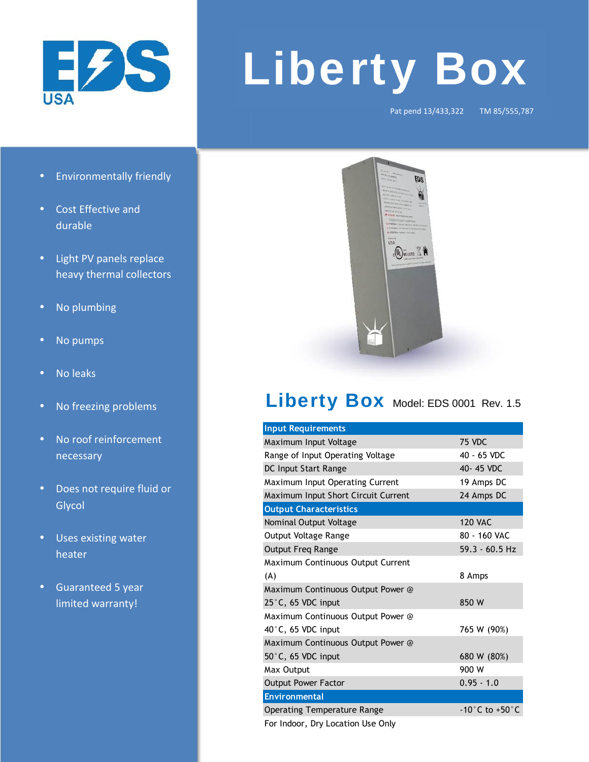

## **Liberty Box**

Pat pend 13/433,322 TM 85/555,787

- **Environmentally friendly**
- Cost Effective and durable
- Light PV panels replace heavy thermal collectors
- No plumbing
- No pumps
- No leaks
- No freezing problems
- No roof reinforcement necessary
- Does not require fluid or **Glycol**
- Uses existing water heater
- Guaranteed 5 year limited warranty!



## Liberty Box Model: EDS 0001 Rev. 1.5

| <b>Input Requirements</b>           |                                    |
|-------------------------------------|------------------------------------|
| Maximum Input Voltage               | 75 VDC                             |
| Range of Input Operating Voltage    | 40 - 65 VDC                        |
| DC Input Start Range                | 40-45 VDC                          |
| Maximum Input Operating Current     | 19 Amps DC                         |
| Maximum Input Short Circuit Current | 24 Amps DC                         |
| <b>Output Characteristics</b>       |                                    |
| Nominal Output Voltage              | <b>120 VAC</b>                     |
| Output Voltage Range                | 80 - 160 VAC                       |
| <b>Output Freq Range</b>            | $59.3 - 60.5$ Hz                   |
| Maximum Continuous Output Current   |                                    |
| (A)                                 | 8 Amps                             |
| Maximum Continuous Output Power @   |                                    |
| 25°C, 65 VDC input                  | 850 W                              |
| Maximum Continuous Output Power @   |                                    |
| 40°C, 65 VDC input                  | 765 W (90%)                        |
| Maximum Continuous Output Power @   |                                    |
| $50^{\circ}$ C, 65 VDC input        | 680 W (80%)                        |
| Max Output                          | 900 W                              |
| <b>Output Power Factor</b>          | $0.95 - 1.0$                       |
| <b>Environmental</b>                |                                    |
| <b>Operating Temperature Range</b>  | $-10^{\circ}$ C to $+50^{\circ}$ C |

For Indoor, Dry Location Use Only